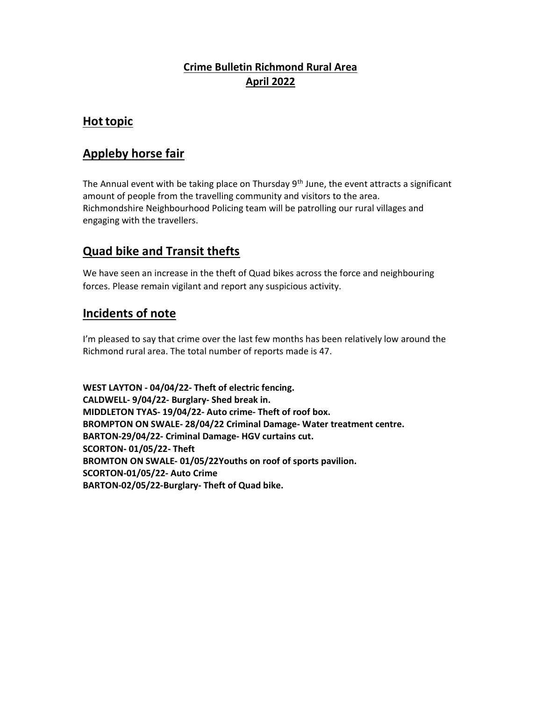#### Crime Bulletin Richmond Rural Area April 2022

## Hot topic

## Appleby horse fair

The Annual event with be taking place on Thursday  $9<sup>th</sup>$  June, the event attracts a significant amount of people from the travelling community and visitors to the area. Richmondshire Neighbourhood Policing team will be patrolling our rural villages and engaging with the travellers.

# Quad bike and Transit thefts

We have seen an increase in the theft of Quad bikes across the force and neighbouring forces. Please remain vigilant and report any suspicious activity.

## Incidents of note

I'm pleased to say that crime over the last few months has been relatively low around the Richmond rural area. The total number of reports made is 47.

WEST LAYTON - 04/04/22- Theft of electric fencing. CALDWELL- 9/04/22- Burglary- Shed break in. MIDDLETON TYAS- 19/04/22- Auto crime- Theft of roof box. BROMPTON ON SWALE- 28/04/22 Criminal Damage- Water treatment centre. BARTON-29/04/22- Criminal Damage- HGV curtains cut. SCORTON- 01/05/22- Theft BROMTON ON SWALE- 01/05/22Youths on roof of sports pavilion. SCORTON-01/05/22- Auto Crime BARTON-02/05/22-Burglary- Theft of Quad bike.